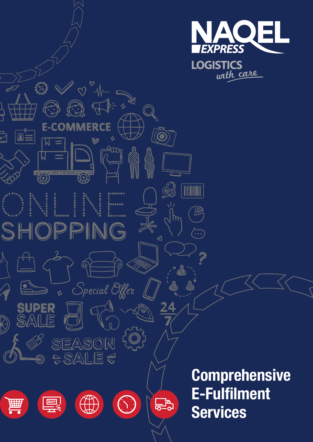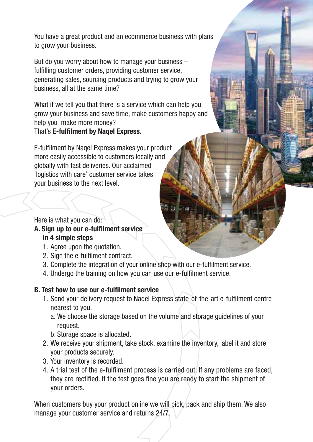You have a great product and an ecommerce business with plans to grow your business.

But do you worry about how to manage your business – fulfilling customer orders, providing customer service, generating sales, sourcing products and trying to grow your business, all at the same time?

What if we tell you that there is a service which can help you grow your business and save time, make customers happy and help you make more money? That's E-fulfilment by Naqel Express.

E-fulfilment by Naqel Express makes your product more easily accessible to customers locally and globally with fast deliveries. Our acclaimed 'logistics with care' customer service takes your business to the next level.

Here is what you can do:

A. Sign up to our e-fulfilment service in 4 simple steps

- 1. Agree upon the quotation.
- 2. Sign the e-fulfilment contract.
- 3. Complete the integration of your online shop with our e-fulfilment service.
- 4. Undergo the training on how you can use our e-fulfilment service.

#### B. Test how to use our e-fulfilment service

- 1. Send your delivery request to Naqel Express state-of-the-art e-fulfilment centre nearest to you.
	- a. We choose the storage based on the volume and storage guidelines of your request.
	- b. Storage space is allocated.
- 2. We receive your shipment, take stock, examine the inventory, label it and store your products securely.
- 3. Your inventory is recorded.
- 4. A trial test of the e-fulfilment process is carried out. If any problems are faced, they are rectified. If the test goes fine you are ready to start the shipment of your orders.

When customers buy your product online we will pick, pack and ship them. We also manage your customer service and returns 24/7.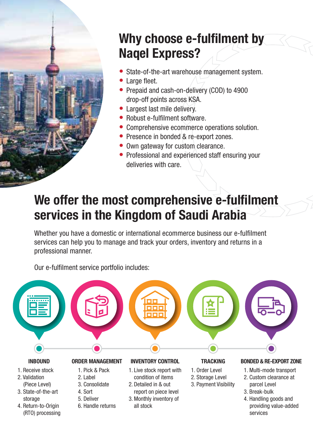

# Why choose e-fulfilment by Naqel Express?

- State-of-the-art warehouse management system.
- Large fleet.
- Prepaid and cash-on-delivery (COD) to 4900 drop-off points across KSA.
- Largest last mile delivery.
- Robust e-fulfilment software
- Comprehensive ecommerce operations solution.
- Presence in bonded & re-export zones.
- Own gateway for custom clearance.
- Professional and experienced staff ensuring your deliveries with care.

## We offer the most comprehensive e-fulfilment services in the Kingdom of Saudi Arabia

Whether you have a domestic or international ecommerce business our e-fulfilment services can help you to manage and track your orders, inventory and returns in a professional manner.

Our e-fulfilment service portfolio includes: